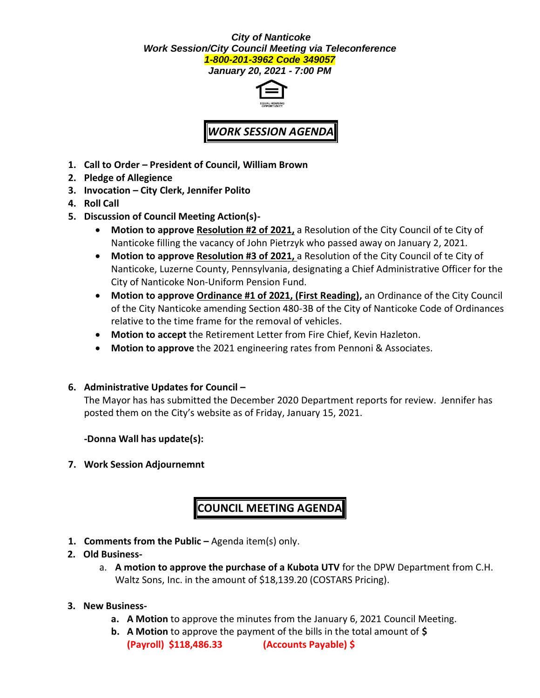### *City of Nanticoke Work Session/City Council Meeting via Teleconference 1-800-201-3962 Code 349057*

*January 20, 2021 - 7:00 PM*



## *WORK SESSION AGENDA*

- **1. Call to Order – President of Council, William Brown**
- **2. Pledge of Allegience**
- **3. Invocation – City Clerk, Jennifer Polito**
- **4. Roll Call**
- **5. Discussion of Council Meeting Action(s)-**
	- **Motion to approve Resolution #2 of 2021,** a Resolution of the City Council of te City of Nanticoke filling the vacancy of John Pietrzyk who passed away on January 2, 2021.
	- **Motion to approve Resolution #3 of 2021,** a Resolution of the City Council of te City of Nanticoke, Luzerne County, Pennsylvania, designating a Chief Administrative Officer for the City of Nanticoke Non-Uniform Pension Fund.
	- **Motion to approve Ordinance #1 of 2021, (First Reading),** an Ordinance of the City Council of the City Nanticoke amending Section 480-3B of the City of Nanticoke Code of Ordinances relative to the time frame for the removal of vehicles.
	- **Motion to accept** the Retirement Letter from Fire Chief, Kevin Hazleton.
	- **Motion to approve** the 2021 engineering rates from Pennoni & Associates.

### **6. Administrative Updates for Council –**

The Mayor has has submitted the December 2020 Department reports for review. Jennifer has posted them on the City's website as of Friday, January 15, 2021.

**-Donna Wall has update(s):**

**7. Work Session Adjournemnt**

# **COUNCIL MEETING AGENDA**

**1. Comments from the Public –** Agenda item(s) only.

### **2. Old Business-**

a. **A motion to approve the purchase of a Kubota UTV** for the DPW Department from C.H. Waltz Sons, Inc. in the amount of \$18,139.20 (COSTARS Pricing).

### **3. New Business-**

- **a. A Motion** to approve the minutes from the January 6, 2021 Council Meeting.
- **b. A Motion** to approve the payment of the bills in the total amount of **\$ (Payroll) \$118,486.33 (Accounts Payable) \$**